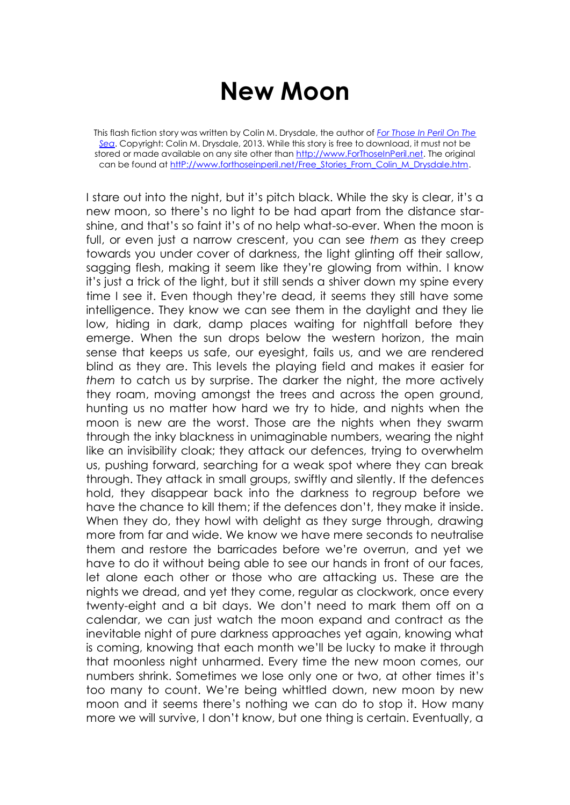## **New Moon**

This flash fiction story was written by Colin M. Drysdale, the author of *[For Those In Peril On The](http://www.forthoseinperil.net/)  [Sea](http://www.forthoseinperil.net/)*. Copyright: Colin M. Drysdale, 2013. While this story is free to download, it must not be stored or made available on any site other than [http://www.ForThoseInPeril.net.](http://www.forthoseinperil.net/) The original can be found at http://www.forthoseinperil.net/Free\_Stories\_From\_Colin\_M\_Drysdale.htm.

I stare out into the night, but it's pitch black. While the sky is clear, it's a new moon, so there's no light to be had apart from the distance starshine, and that's so faint it's of no help what-so-ever. When the moon is full, or even just a narrow crescent, you can see *them* as they creep towards you under cover of darkness, the light glinting off their sallow, sagging flesh, making it seem like they're glowing from within. I know it's just a trick of the light, but it still sends a shiver down my spine every time I see it. Even though they're dead, it seems they still have some intelligence. They know we can see them in the daylight and they lie low, hiding in dark, damp places waiting for nightfall before they emerge. When the sun drops below the western horizon, the main sense that keeps us safe, our eyesight, fails us, and we are rendered blind as they are. This levels the playing field and makes it easier for *them* to catch us by surprise. The darker the night, the more actively they roam, moving amongst the trees and across the open ground, hunting us no matter how hard we try to hide, and nights when the moon is new are the worst. Those are the nights when they swarm through the inky blackness in unimaginable numbers, wearing the night like an invisibility cloak; they attack our defences, trying to overwhelm us, pushing forward, searching for a weak spot where they can break through. They attack in small groups, swiftly and silently. If the defences hold, they disappear back into the darkness to regroup before we have the chance to kill them; if the defences don't, they make it inside. When they do, they howl with delight as they surge through, drawing more from far and wide. We know we have mere seconds to neutralise them and restore the barricades before we're overrun, and yet we have to do it without being able to see our hands in front of our faces, let alone each other or those who are attacking us. These are the nights we dread, and yet they come, regular as clockwork, once every twenty-eight and a bit days. We don't need to mark them off on a calendar, we can just watch the moon expand and contract as the inevitable night of pure darkness approaches yet again, knowing what is coming, knowing that each month we'll be lucky to make it through that moonless night unharmed. Every time the new moon comes, our numbers shrink. Sometimes we lose only one or two, at other times it's too many to count. We're being whittled down, new moon by new moon and it seems there's nothing we can do to stop it. How many more we will survive, I don't know, but one thing is certain. Eventually, a